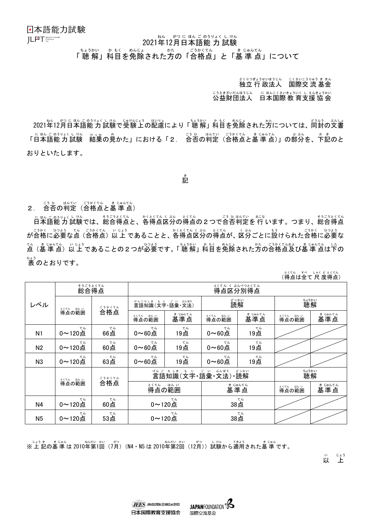## 2021年 12月 日 本 語 能 力 試 験 ねん しがつ に ほん ご のうりょく し けん

「 聴 ちょう 解 かい 」科 か 目 もく を免 めん 除 じょ された方 かた の「合 ごう 格 かく 点 てん 」と「基 き 準 じゅん 点 てん 」について

<sub>どくりつぎょうせいほうじん こくおこうりゅう ききん</sub>

こうぇき☆☆ぼうじん こぼんこくさいきょういく し えんきょうかい

2021年12月日本語能 力 試験で受験上の配慮により「聴 解」科目を免除された方については、同封の文書 「日本語能 力 試験 結果の見かた」における「2. 台杏の判定(合格点と基 準 点)」の部分を、下記のと おりといたします。

ま<br>記

2. 合否の判定(合格点と基 準 点)

占本語能 力 試験では、総合得点と、各得点区分の得点の2つで合否判定を 行 います。つまり、総合得点 ─ ご◎☆ ─ ひょう でん くいくてん こんしょくてん くぶん くぶん こうかく しょう こうかく ひょう こうかく ひょう てん きじゅんてん いじょう<br>点(基 準 点)以 上 であることの2つが必要です。「聴 解」科目を免除された方の合格点及び基 準 点は下の 表 のとおりです。 ひょう

> та с последните се постојата на селото на селото на селото на селото на селото на селото на селото на селото<br>Селото на селото на селото на селото на селото на селото на селото на селото на селото на селото на селото на とくてん すべ しゃく ど とくてん<br>得点は全て 尺 度得点)

|                | <sub>そうごうとくてん</sub>  |                   | ※でんく ぶくつとくてん                                   |                  |                      |                 |                   |       |  |
|----------------|----------------------|-------------------|------------------------------------------------|------------------|----------------------|-----------------|-------------------|-------|--|
| レベル            | きくてん はんい             | ニゥゕくてん            | <sub>げんごちしき</sub> もじしこい ぶんぽう<br>言語知識(文字・語彙・文法) |                  | 影解                   |                 | をする<br>聴解         |       |  |
|                |                      |                   | とくてん はんい<br>得点の範囲                              | またいてん            | とくてん<br>はんい<br>得点の範囲 | まはいてん           | とくてん はんい<br>得点の範囲 | まはいてん |  |
| N <sub>1</sub> | てん<br>$0 \sim 120$ 点 | $66\frac{1}{100}$ | 0~60点                                          | ™<br>19点         | てん<br>0~60点          | ~~<br><b>加良</b> |                   |       |  |
| N <sub>2</sub> | てん<br>0~120点         | $60\frac{7}{10}$  | 0~60点                                          | 。。<br><b>19点</b> | てん<br>0~60点          | ~~<br><b>加良</b> |                   |       |  |
| N <sub>3</sub> | $0 \sim 120$ 点       | <sub>63点</sub>    | 0~60点                                          | 19点              | $0 \sim 60$ 点        | 19点             |                   |       |  |
|                | とくてん<br>得点の範囲        | ニゥゕ<τん            | 『んこちしき もじ」こい、ぶぼう どっかい<br>言語知識(文字・語彙・文法)・読解     |                  |                      |                 | をする<br>聴解         |       |  |
|                |                      |                   | 。<br>得点の範囲                                     |                  | まぬいん                 |                 | *<<< はんい          | まぬいん  |  |
| N4             | てん<br>0~120点         | $60\frac{7}{10}$  | $0 \sim 120$ 点                                 |                  | 38点                  |                 |                   |       |  |
| N <sub>5</sub> | $0 \sim 120$ 点       | 53点               | $0 \sim 120$ 点                                 |                  | 38点                  |                 |                   |       |  |

※ 上 じょう 記 き の基 き 準 じゅん は 2010年 ねん 第 だい 1回 かい (7月 がつ )(N4・N5 は 2010年 ねん 第 だい 2回 かい (12月 がつ ))試 し 験 けん から適 てき 用 よう された基 き 準 じゅん です。

いっしょう しょう しょうしょう じょう